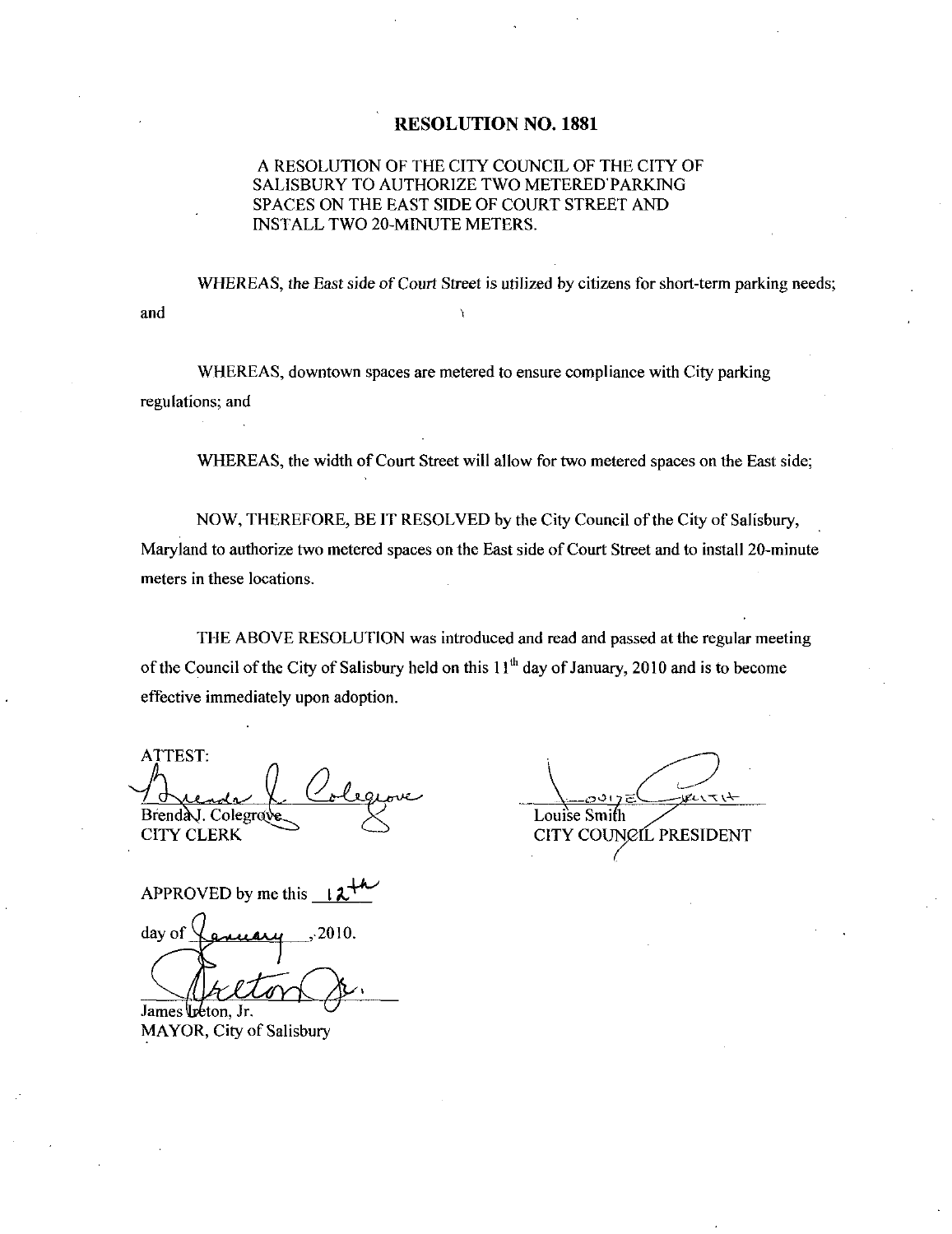## RESOLUTION NO. 1881

## A RESOLUTION OF THE CITY COUNCIL OF THE CITY OF SALISBURY TO AUTHORIZE TWO METERED PARKING SPACES ON THE EAST SIDE OF COURT STREET AND A RESOLUTION OF THE CITY COUNSALISBURY TO AUTHORIZE TWO NO<br>SPACES ON THE EAST SIDE OF COUNSTALL TWO 20-MINUTE METERS

WHEREAS, the East side of Court Street is utilized by citizens for short-term parking needs; and

WHEREAS, downtown spaces are metered to ensure compliance with City parking regulations; and

WHEREAS, the width of Court Street will allow for two metered spaces on the East side;

NOW, THEREFORE, BE IT RESOLVED by the City Council of the City of Salisbury, Maryland to authorize two metered spaces on the East side of Court Street and to install 20-minute meters in these locations

THE ABOVE RESOLUTION was introduced and read and passed at the regulaz meeting of the Council of the City of Salisbury held on this  $11<sup>th</sup>$  day of January, 2010 and is to become effective immediately upon adoption

ATTEST Brenda J. Colegrave **CITY CLERK** 

Louise Smith Louise Smith<br>Louise Smith<br>CITY COUNCIL PRESIDENT

APPROVED by me this  $\downarrow$ 

day of  $\chi$  and  $\mu$  2010.

James Ireton. Jr. MAYOR, City of Salisbury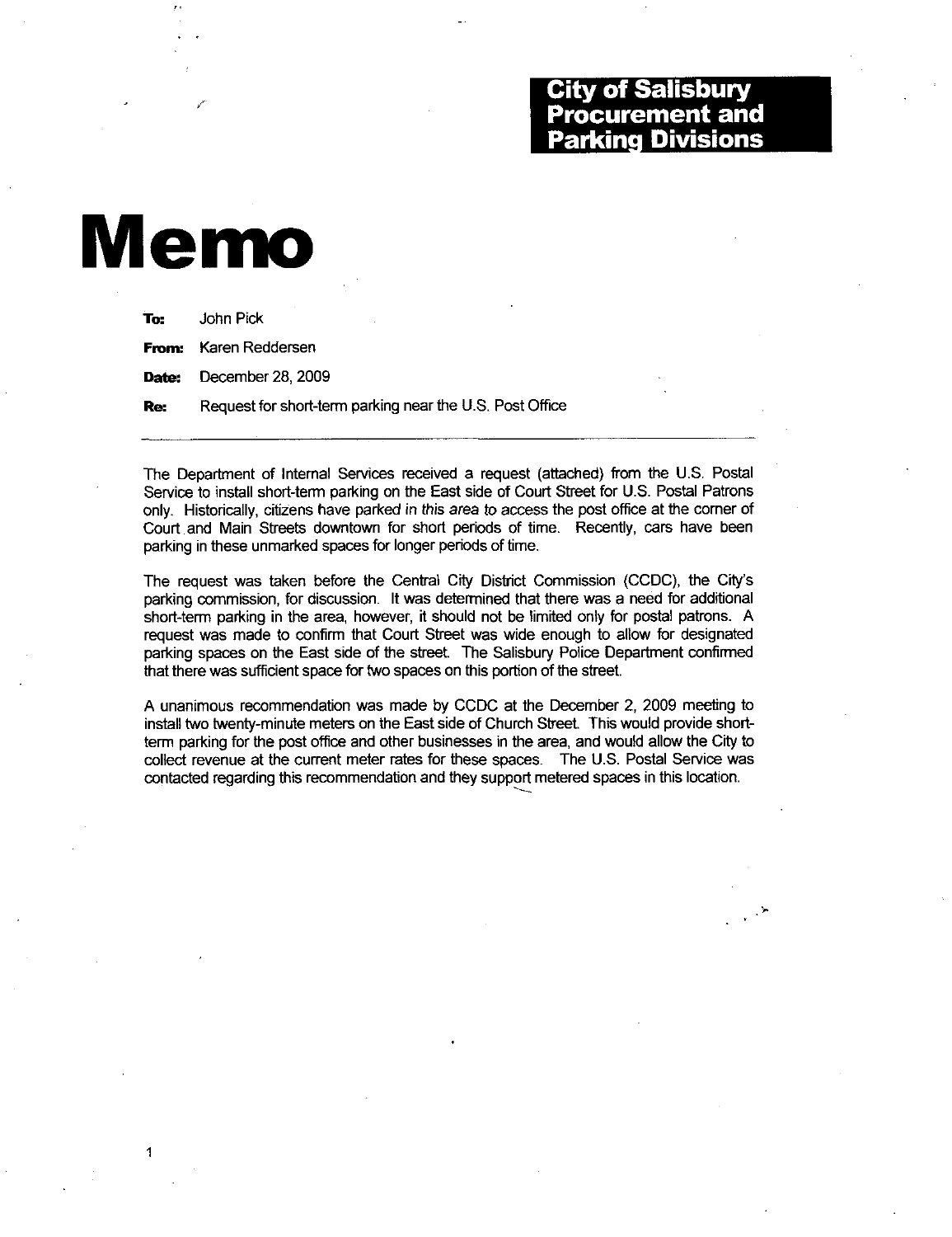## **City of Salisbury Procurement and** kina Divisions

## Memo

1

| John Pick                                                |
|----------------------------------------------------------|
| <b>From:</b> Karen Reddersen                             |
| <b>Date:</b> December 28, 2009                           |
| Request for short-term parking near the U.S. Post Office |
|                                                          |

The Department of Internal Services received a request (attached) from the U.S. Postal The Department of Internal Services received a request (attached) from the U.S. Postal<br>Service to install short-term parking on the East side of Court Street for U.S. Postal Patrons only Historically citizens have parked in this area to access the post office at the corner of Court and Main Streets downtown for short periods of time. Recently, cars have been parking in these unmarked spaces for longer periods of time.

The request was taken before the Central City District Commission (CCDC), the City's parking commission, for discussion. It was determined that there was a need for additional short-term parking in the area, however, it should not be limited only for postal patrons. A request was made to confirm that Court Street was wide enough to allow for designated parking spaces on the East side of the street. The Salisbury Police Department confirmed that there was sufficient space for two spaces on this portion of the street.

A unanimous recommendation was made by CCDC at the December 2 <sup>2009</sup> meeting to install two twenty-minute meters on the East side of Church Street. This would provide shortterm parking for the post office and other businesses in the area, and would allow the City to collect revenue at the current meter rates for these spaces. The U.S. Postal Service was contacted regarding this recommendation and they support metered spaces in this location